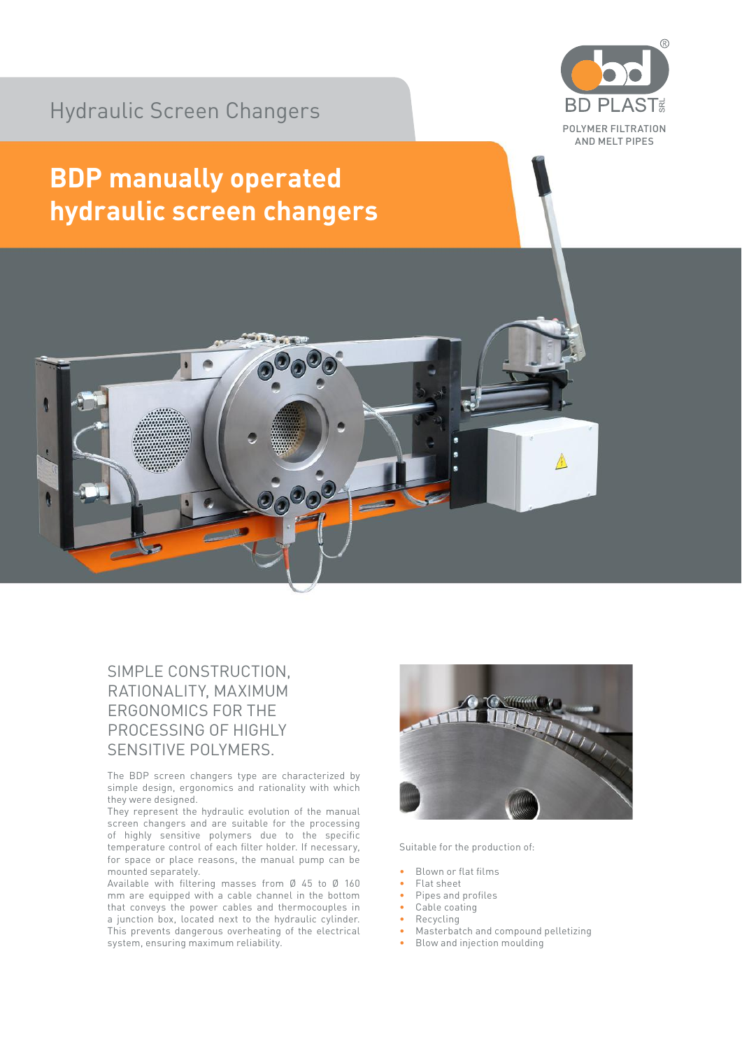Hydraulic Screen Changers



## **BDP manually operated hydraulic screen changers**



## SIMPLE CONSTRUCTION, RATIONALITY, MAXIMUM ERGONOMICS FOR THE PROCESSING OF HIGHLY SENSITIVE POLYMERS.

The BDP screen changers type are characterized by simple design, ergonomics and rationality with which they were designed.

They represent the hydraulic evolution of the manual screen changers and are suitable for the processing of highly sensitive polymers due to the specific temperature control of each filter holder. If necessary, for space or place reasons, the manual pump can be mounted separately.

Available with filtering masses from Ø 45 to Ø 160 mm are equipped with a cable channel in the bottom that conveys the power cables and thermocouples in a junction box, located next to the hydraulic cylinder. This prevents dangerous overheating of the electrical system, ensuring maximum reliability.



Suitable for the production of:

- Blown or flat films
- Flat sheet
- Pipes and profiles
- Cable coating
- Recycling
- Masterbatch and compound pelletizing
- Blow and injection moulding